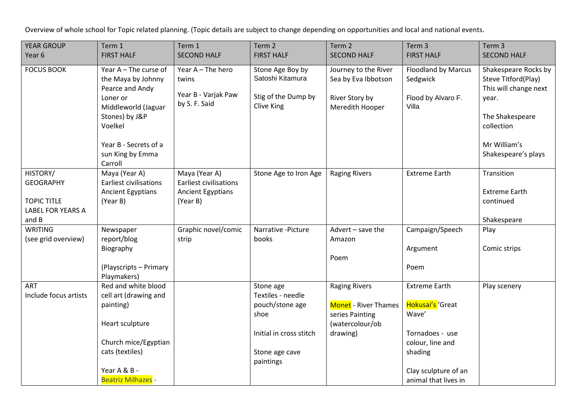Overview of whole school for Topic related planning. (Topic details are subject to change depending on opportunities and local and national events.

| <b>YEAR GROUP</b>                                                                       | Term 1                                                                                                                                                                                   | Term 1                                                                          | Term <sub>2</sub>                                                                                                   | Term 2                                                                                                | Term 3                                                                                                                                              | Term 3                                                                                                                                                |
|-----------------------------------------------------------------------------------------|------------------------------------------------------------------------------------------------------------------------------------------------------------------------------------------|---------------------------------------------------------------------------------|---------------------------------------------------------------------------------------------------------------------|-------------------------------------------------------------------------------------------------------|-----------------------------------------------------------------------------------------------------------------------------------------------------|-------------------------------------------------------------------------------------------------------------------------------------------------------|
| Year <sub>6</sub>                                                                       | <b>FIRST HALF</b>                                                                                                                                                                        | <b>SECOND HALF</b>                                                              | <b>FIRST HALF</b>                                                                                                   | <b>SECOND HALF</b>                                                                                    | <b>FIRST HALF</b>                                                                                                                                   | <b>SECOND HALF</b>                                                                                                                                    |
| <b>FOCUS BOOK</b>                                                                       | Year $A$ – The curse of<br>the Maya by Johnny<br>Pearce and Andy<br>Loner or<br>Middleworld (Jaguar<br>Stones) by J&P<br>Voelkel<br>Year B - Secrets of a<br>sun King by Emma<br>Carroll | Year A - The hero<br>twins<br>Year B - Varjak Paw<br>by S. F. Said              | Stone Age Boy by<br>Satoshi Kitamura<br>Stig of the Dump by<br>Clive King                                           | Journey to the River<br>Sea by Eva Ibbotson<br>River Story by<br>Meredith Hooper                      | <b>Floodland by Marcus</b><br>Sedgwick<br>Flood by Alvaro F.<br>Villa                                                                               | Shakespeare Rocks by<br>Steve Titford(Play)<br>This will change next<br>year.<br>The Shakespeare<br>collection<br>Mr William's<br>Shakespeare's plays |
| HISTORY/<br><b>GEOGRAPHY</b><br><b>TOPIC TITLE</b><br><b>LABEL FOR YEARS A</b><br>and B | Maya (Year A)<br><b>Earliest civilisations</b><br><b>Ancient Egyptians</b><br>(Year B)                                                                                                   | Maya (Year A)<br><b>Earliest civilisations</b><br>Ancient Egyptians<br>(Year B) | Stone Age to Iron Age                                                                                               | <b>Raging Rivers</b>                                                                                  | <b>Extreme Earth</b>                                                                                                                                | Transition<br><b>Extreme Earth</b><br>continued<br>Shakespeare                                                                                        |
| <b>WRITING</b><br>(see grid overview)                                                   | Newspaper<br>report/blog<br>Biography<br>(Playscripts - Primary<br>Playmakers)                                                                                                           | Graphic novel/comic<br>strip                                                    | Narrative - Picture<br>books                                                                                        | Advert - save the<br>Amazon<br>Poem                                                                   | Campaign/Speech<br>Argument<br>Poem                                                                                                                 | Play<br>Comic strips                                                                                                                                  |
| ART<br>Include focus artists                                                            | Red and white blood<br>cell art (drawing and<br>painting)<br>Heart sculpture<br>Church mice/Egyptian<br>cats (textiles)<br>Year A & B -<br><b>Beatriz Milhazes -</b>                     |                                                                                 | Stone age<br>Textiles - needle<br>pouch/stone age<br>shoe<br>Initial in cross stitch<br>Stone age cave<br>paintings | <b>Raging Rivers</b><br><b>Monet</b> - River Thames<br>series Painting<br>(watercolour/ob<br>drawing) | <b>Extreme Earth</b><br>Hokusai's 'Great<br>Wave'<br>Tornadoes - use<br>colour, line and<br>shading<br>Clay sculpture of an<br>animal that lives in | Play scenery                                                                                                                                          |